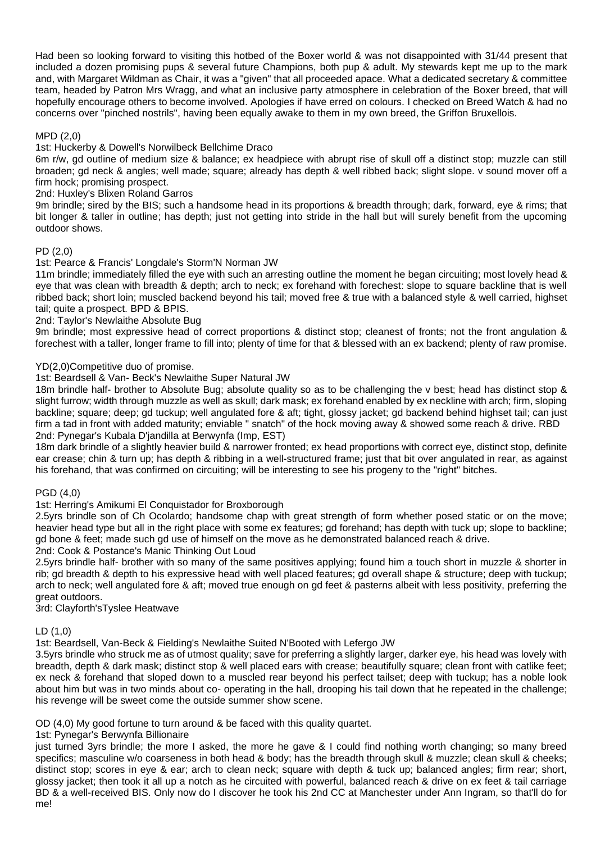Had been so looking forward to visiting this hotbed of the Boxer world & was not disappointed with 31/44 present that included a dozen promising pups & several future Champions, both pup & adult. My stewards kept me up to the mark and, with Margaret Wildman as Chair, it was a "given" that all proceeded apace. What a dedicated secretary & committee team, headed by Patron Mrs Wragg, and what an inclusive party atmosphere in celebration of the Boxer breed, that will hopefully encourage others to become involved. Apologies if have erred on colours. I checked on Breed Watch & had no concerns over "pinched nostrils", having been equally awake to them in my own breed, the Griffon Bruxellois.

### MPD (2,0)

### 1st: Huckerby & Dowell's Norwilbeck Bellchime Draco

6m r/w, gd outline of medium size & balance; ex headpiece with abrupt rise of skull off a distinct stop; muzzle can still broaden; gd neck & angles; well made; square; already has depth & well ribbed back; slight slope. v sound mover off a firm hock; promising prospect.

2nd: Huxley's Blixen Roland Garros

9m brindle; sired by the BIS; such a handsome head in its proportions & breadth through; dark, forward, eye & rims; that bit longer & taller in outline; has depth; just not getting into stride in the hall but will surely benefit from the upcoming outdoor shows.

# PD (2,0)

### 1st: Pearce & Francis' Longdale's Storm'N Norman JW

11m brindle; immediately filled the eye with such an arresting outline the moment he began circuiting; most lovely head & eye that was clean with breadth & depth; arch to neck; ex forehand with forechest: slope to square backline that is well ribbed back; short loin; muscled backend beyond his tail; moved free & true with a balanced style & well carried, highset tail; quite a prospect. BPD & BPIS.

### 2nd: Taylor's Newlaithe Absolute Bug

9m brindle; most expressive head of correct proportions & distinct stop; cleanest of fronts; not the front angulation & forechest with a taller, longer frame to fill into; plenty of time for that & blessed with an ex backend; plenty of raw promise.

### YD(2,0)Competitive duo of promise.

1st: Beardsell & Van- Beck's Newlaithe Super Natural JW

18m brindle half- brother to Absolute Bug; absolute quality so as to be challenging the v best; head has distinct stop & slight furrow; width through muzzle as well as skull; dark mask; ex forehand enabled by ex neckline with arch; firm, sloping backline; square; deep; gd tuckup; well angulated fore & aft; tight, glossy jacket; gd backend behind highset tail; can just firm a tad in front with added maturity; enviable " snatch" of the hock moving away & showed some reach & drive. RBD 2nd: Pynegar's Kubala D'jandilla at Berwynfa (Imp, EST)

18m dark brindle of a slightly heavier build & narrower fronted; ex head proportions with correct eye, distinct stop, definite ear crease; chin & turn up; has depth & ribbing in a well-structured frame; just that bit over angulated in rear, as against his forehand, that was confirmed on circuiting; will be interesting to see his progeny to the "right" bitches.

# PGD (4,0)

### 1st: Herring's Amikumi El Conquistador for Broxborough

2.5yrs brindle son of Ch Ocolardo; handsome chap with great strength of form whether posed static or on the move; heavier head type but all in the right place with some ex features; gd forehand; has depth with tuck up; slope to backline; gd bone & feet; made such gd use of himself on the move as he demonstrated balanced reach & drive.

### 2nd: Cook & Postance's Manic Thinking Out Loud

2.5yrs brindle half- brother with so many of the same positives applying; found him a touch short in muzzle & shorter in rib; gd breadth & depth to his expressive head with well placed features; gd overall shape & structure; deep with tuckup; arch to neck; well angulated fore & aft; moved true enough on gd feet & pasterns albeit with less positivity, preferring the great outdoors.

3rd: Clayforth'sTyslee Heatwave

# LD (1,0)

1st: Beardsell, Van-Beck & Fielding's Newlaithe Suited N'Booted with Lefergo JW

3.5yrs brindle who struck me as of utmost quality; save for preferring a slightly larger, darker eye, his head was lovely with breadth, depth & dark mask; distinct stop & well placed ears with crease; beautifully square; clean front with catlike feet; ex neck & forehand that sloped down to a muscled rear beyond his perfect tailset; deep with tuckup; has a noble look about him but was in two minds about co- operating in the hall, drooping his tail down that he repeated in the challenge; his revenge will be sweet come the outside summer show scene.

# OD (4,0) My good fortune to turn around & be faced with this quality quartet.

1st: Pynegar's Berwynfa Billionaire

just turned 3yrs brindle; the more I asked, the more he gave & I could find nothing worth changing; so many breed specifics; masculine w/o coarseness in both head & body; has the breadth through skull & muzzle; clean skull & cheeks; distinct stop; scores in eye & ear; arch to clean neck; square with depth & tuck up; balanced angles; firm rear; short, glossy jacket; then took it all up a notch as he circuited with powerful, balanced reach & drive on ex feet & tail carriage BD & a well-received BIS. Only now do I discover he took his 2nd CC at Manchester under Ann Ingram, so that'll do for me!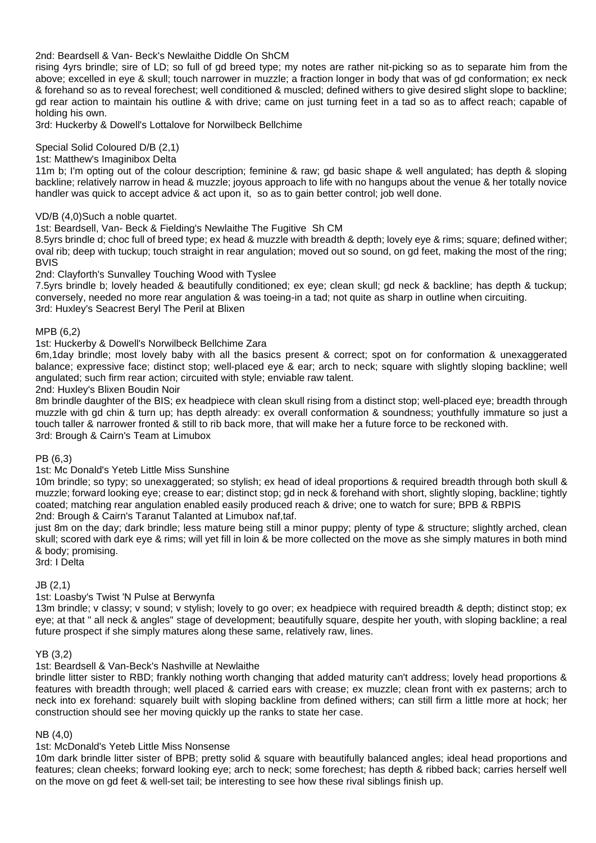2nd: Beardsell & Van- Beck's Newlaithe Diddle On ShCM

rising 4yrs brindle; sire of LD; so full of gd breed type; my notes are rather nit-picking so as to separate him from the above; excelled in eye & skull; touch narrower in muzzle; a fraction longer in body that was of gd conformation; ex neck & forehand so as to reveal forechest; well conditioned & muscled; defined withers to give desired slight slope to backline; gd rear action to maintain his outline & with drive; came on just turning feet in a tad so as to affect reach; capable of holding his own.

3rd: Huckerby & Dowell's Lottalove for Norwilbeck Bellchime

### Special Solid Coloured D/B (2,1)

### 1st: Matthew's Imaginibox Delta

11m b; I'm opting out of the colour description; feminine & raw; gd basic shape & well angulated; has depth & sloping backline; relatively narrow in head & muzzle; joyous approach to life with no hangups about the venue & her totally novice handler was quick to accept advice & act upon it, so as to gain better control; job well done.

### VD/B (4,0)Such a noble quartet.

### 1st: Beardsell, Van- Beck & Fielding's Newlaithe The Fugitive Sh CM

8.5yrs brindle d; choc full of breed type; ex head & muzzle with breadth & depth; lovely eye & rims; square; defined wither; oval rib; deep with tuckup; touch straight in rear angulation; moved out so sound, on gd feet, making the most of the ring; BVIS

### 2nd: Clayforth's Sunvalley Touching Wood with Tyslee

7.5yrs brindle b; lovely headed & beautifully conditioned; ex eye; clean skull; gd neck & backline; has depth & tuckup; conversely, needed no more rear angulation & was toeing-in a tad; not quite as sharp in outline when circuiting. 3rd: Huxley's Seacrest Beryl The Peril at Blixen

### MPB (6,2)

### 1st: Huckerby & Dowell's Norwilbeck Bellchime Zara

6m,1day brindle; most lovely baby with all the basics present & correct; spot on for conformation & unexaggerated balance; expressive face; distinct stop; well-placed eye & ear; arch to neck; square with slightly sloping backline; well angulated; such firm rear action; circuited with style; enviable raw talent.

2nd: Huxley's Blixen Boudin Noir

8m brindle daughter of the BIS; ex headpiece with clean skull rising from a distinct stop; well-placed eye; breadth through muzzle with gd chin & turn up; has depth already: ex overall conformation & soundness; youthfully immature so just a touch taller & narrower fronted & still to rib back more, that will make her a future force to be reckoned with. 3rd: Brough & Cairn's Team at Limubox

### PB (6,3)

### 1st: Mc Donald's Yeteb Little Miss Sunshine

10m brindle; so typy; so unexaggerated; so stylish; ex head of ideal proportions & required breadth through both skull & muzzle; forward looking eye; crease to ear; distinct stop; gd in neck & forehand with short, slightly sloping, backline; tightly coated; matching rear angulation enabled easily produced reach & drive; one to watch for sure; BPB & RBPIS 2nd: Brough & Cairn's Taranut Talanted at Limubox naf,taf.

just 8m on the day; dark brindle; less mature being still a minor puppy; plenty of type & structure; slightly arched, clean skull; scored with dark eye & rims; will yet fill in loin & be more collected on the move as she simply matures in both mind & body; promising.

3rd: I Delta

### JB (2,1)

### 1st: Loasby's Twist 'N Pulse at Berwynfa

13m brindle; v classy; v sound; v stylish; lovely to go over; ex headpiece with required breadth & depth; distinct stop; ex eye; at that " all neck & angles" stage of development; beautifully square, despite her youth, with sloping backline; a real future prospect if she simply matures along these same, relatively raw, lines.

### YB (3,2)

### 1st: Beardsell & Van-Beck's Nashville at Newlaithe

brindle litter sister to RBD; frankly nothing worth changing that added maturity can't address; lovely head proportions & features with breadth through; well placed & carried ears with crease; ex muzzle; clean front with ex pasterns; arch to neck into ex forehand: squarely built with sloping backline from defined withers; can still firm a little more at hock; her construction should see her moving quickly up the ranks to state her case.

### NB (4,0)

### 1st: McDonald's Yeteb Little Miss Nonsense

10m dark brindle litter sister of BPB; pretty solid & square with beautifully balanced angles; ideal head proportions and features; clean cheeks; forward looking eye; arch to neck; some forechest; has depth & ribbed back; carries herself well on the move on gd feet & well-set tail; be interesting to see how these rival siblings finish up.